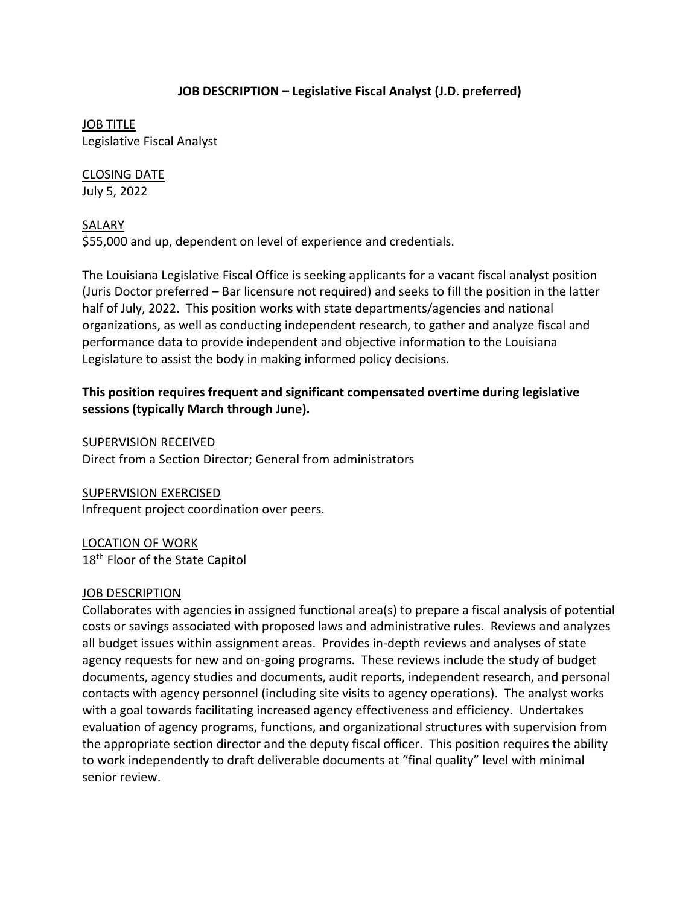## **JOB DESCRIPTION – Legislative Fiscal Analyst (J.D. preferred)**

JOB TITLE Legislative Fiscal Analyst

CLOSING DATE July 5, 2022

SALARY

\$55,000 and up, dependent on level of experience and credentials.

The Louisiana Legislative Fiscal Office is seeking applicants for a vacant fiscal analyst position (Juris Doctor preferred – Bar licensure not required) and seeks to fill the position in the latter half of July, 2022. This position works with state departments/agencies and national organizations, as well as conducting independent research, to gather and analyze fiscal and performance data to provide independent and objective information to the Louisiana Legislature to assist the body in making informed policy decisions.

# **This position requires frequent and significant compensated overtime during legislative sessions (typically March through June).**

SUPERVISION RECEIVED Direct from a Section Director; General from administrators

SUPERVISION EXERCISED

Infrequent project coordination over peers.

LOCATION OF WORK 18<sup>th</sup> Floor of the State Capitol

### JOB DESCRIPTION

Collaborates with agencies in assigned functional area(s) to prepare a fiscal analysis of potential costs or savings associated with proposed laws and administrative rules. Reviews and analyzes all budget issues within assignment areas. Provides in-depth reviews and analyses of state agency requests for new and on-going programs. These reviews include the study of budget documents, agency studies and documents, audit reports, independent research, and personal contacts with agency personnel (including site visits to agency operations). The analyst works with a goal towards facilitating increased agency effectiveness and efficiency. Undertakes evaluation of agency programs, functions, and organizational structures with supervision from the appropriate section director and the deputy fiscal officer. This position requires the ability to work independently to draft deliverable documents at "final quality" level with minimal senior review.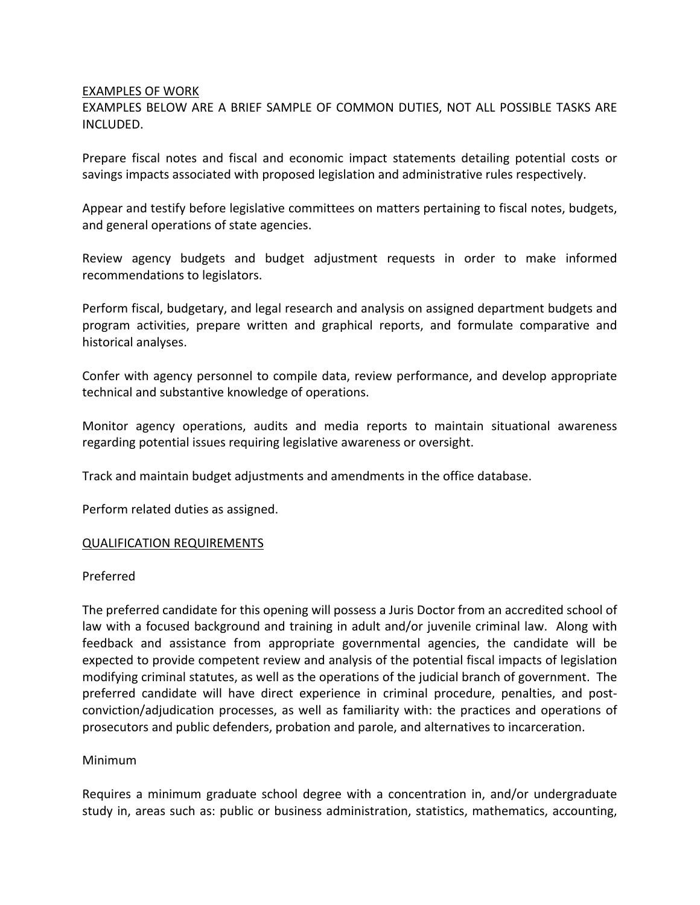#### EXAMPLES OF WORK

EXAMPLES BELOW ARE A BRIEF SAMPLE OF COMMON DUTIES, NOT ALL POSSIBLE TASKS ARE INCLUDED.

Prepare fiscal notes and fiscal and economic impact statements detailing potential costs or savings impacts associated with proposed legislation and administrative rules respectively.

Appear and testify before legislative committees on matters pertaining to fiscal notes, budgets, and general operations of state agencies.

Review agency budgets and budget adjustment requests in order to make informed recommendations to legislators.

Perform fiscal, budgetary, and legal research and analysis on assigned department budgets and program activities, prepare written and graphical reports, and formulate comparative and historical analyses.

Confer with agency personnel to compile data, review performance, and develop appropriate technical and substantive knowledge of operations.

Monitor agency operations, audits and media reports to maintain situational awareness regarding potential issues requiring legislative awareness or oversight.

Track and maintain budget adjustments and amendments in the office database.

Perform related duties as assigned.

#### QUALIFICATION REQUIREMENTS

#### Preferred

The preferred candidate for this opening will possess a Juris Doctor from an accredited school of law with a focused background and training in adult and/or juvenile criminal law. Along with feedback and assistance from appropriate governmental agencies, the candidate will be expected to provide competent review and analysis of the potential fiscal impacts of legislation modifying criminal statutes, as well as the operations of the judicial branch of government. The preferred candidate will have direct experience in criminal procedure, penalties, and postconviction/adjudication processes, as well as familiarity with: the practices and operations of prosecutors and public defenders, probation and parole, and alternatives to incarceration.

#### Minimum

Requires a minimum graduate school degree with a concentration in, and/or undergraduate study in, areas such as: public or business administration, statistics, mathematics, accounting,